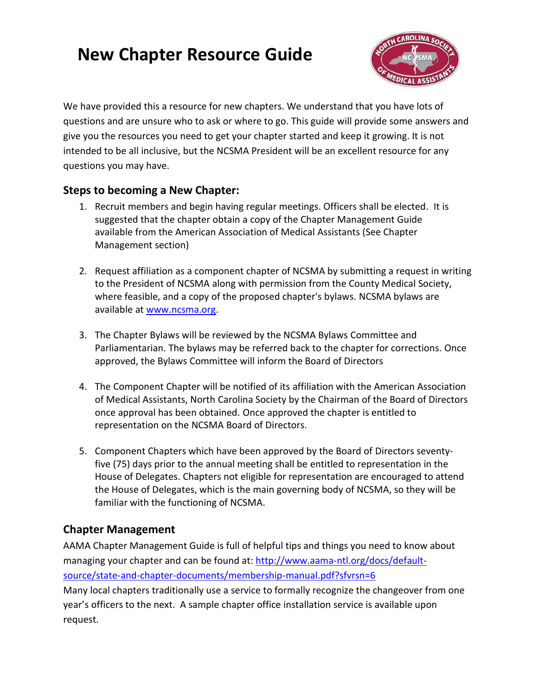# **New Chapter Resource Guide**



We have provided this a resource for new chapters. We understand that you have lots of questions and are unsure who to ask or where to go. This guide will provide some answers and give you the resources you need to get your chapter started and keep it growing. It is not intended to be all inclusive, but the NCSMA President will be an excellent resource for any questions you may have.

#### **Steps to becoming a New Chapter:**

- 1. Recruit members and begin having regular meetings. Officers shall be elected. It is suggested that the chapter obtain a copy of the Chapter Management Guide available from the American Association of Medical Assistants (See Chapter Management section)
- 2. Request affiliation as a component chapter of NCSMA by submitting a request in writing to the President of NCSMA along with permission from the County Medical Society, where feasible, and a copy of the proposed chapter's bylaws. NCSMA bylaws are available at [www.ncsma.org.](http://www.ncsma.org/)
- 3. The Chapter Bylaws will be reviewed by the NCSMA Bylaws Committee and Parliamentarian. The bylaws may be referred back to the chapter for corrections. Once approved, the Bylaws Committee will inform the Board of Directors
- 4. The Component Chapter will be notified of its affiliation with the American Association of Medical Assistants, North Carolina Society by the Chairman of the Board of Directors once approval has been obtained. Once approved the chapter is entitled to representation on the NCSMA Board of Directors.
- 5. Component Chapters which have been approved by the Board of Directors seventyfive (75) days prior to the annual meeting shall be entitled to representation in the House of Delegates. Chapters not eligible for representation are encouraged to attend the House of Delegates, which is the main governing body of NCSMA, so they will be familiar with the functioning of NCSMA.

#### **Chapter Management**

AAMA Chapter Management Guide is full of helpful tips and things you need to know about managing your chapter and can be found at: [http://www.aama-ntl.org/docs/default](http://www.aama-ntl.org/docs/default-source/state-and-chapter-documents/membership-manual.pdf?sfvrsn=6)[source/state-and-chapter-documents/membership-manual.pdf?sfvrsn=6](http://www.aama-ntl.org/docs/default-source/state-and-chapter-documents/membership-manual.pdf?sfvrsn=6) Many local chapters traditionally use a service to formally recognize the changeover from one year's officers to the next. A sample chapter office installation service is available upon request.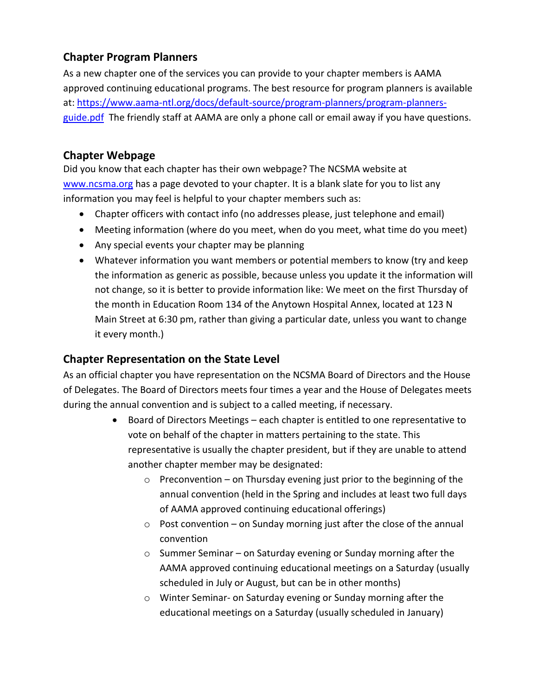## **Chapter Program Planners**

As a new chapter one of the services you can provide to your chapter members is AAMA approved continuing educational programs. The best resource for program planners is available at[: https://www.aama-ntl.org/docs/default-source/program-planners/program-planners](https://www.aama-ntl.org/docs/default-source/program-planners/program-planners-guide.pdf)[guide.pdf](https://www.aama-ntl.org/docs/default-source/program-planners/program-planners-guide.pdf) The friendly staff at AAMA are only a phone call or email away if you have questions.

## **Chapter Webpage**

Did you know that each chapter has their own webpage? The NCSMA website at [www.ncsma.org](http://www.ncsma.org/) has a page devoted to your chapter. It is a blank slate for you to list any information you may feel is helpful to your chapter members such as:

- Chapter officers with contact info (no addresses please, just telephone and email)
- Meeting information (where do you meet, when do you meet, what time do you meet)
- Any special events your chapter may be planning
- Whatever information you want members or potential members to know (try and keep the information as generic as possible, because unless you update it the information will not change, so it is better to provide information like: We meet on the first Thursday of the month in Education Room 134 of the Anytown Hospital Annex, located at 123 N Main Street at 6:30 pm, rather than giving a particular date, unless you want to change it every month.)

# **Chapter Representation on the State Level**

As an official chapter you have representation on the NCSMA Board of Directors and the House of Delegates. The Board of Directors meets four times a year and the House of Delegates meets during the annual convention and is subject to a called meeting, if necessary.

- Board of Directors Meetings each chapter is entitled to one representative to vote on behalf of the chapter in matters pertaining to the state. This representative is usually the chapter president, but if they are unable to attend another chapter member may be designated:
	- $\circ$  Preconvention on Thursday evening just prior to the beginning of the annual convention (held in the Spring and includes at least two full days of AAMA approved continuing educational offerings)
	- $\circ$  Post convention on Sunday morning just after the close of the annual convention
	- o Summer Seminar on Saturday evening or Sunday morning after the AAMA approved continuing educational meetings on a Saturday (usually scheduled in July or August, but can be in other months)
	- o Winter Seminar- on Saturday evening or Sunday morning after the educational meetings on a Saturday (usually scheduled in January)